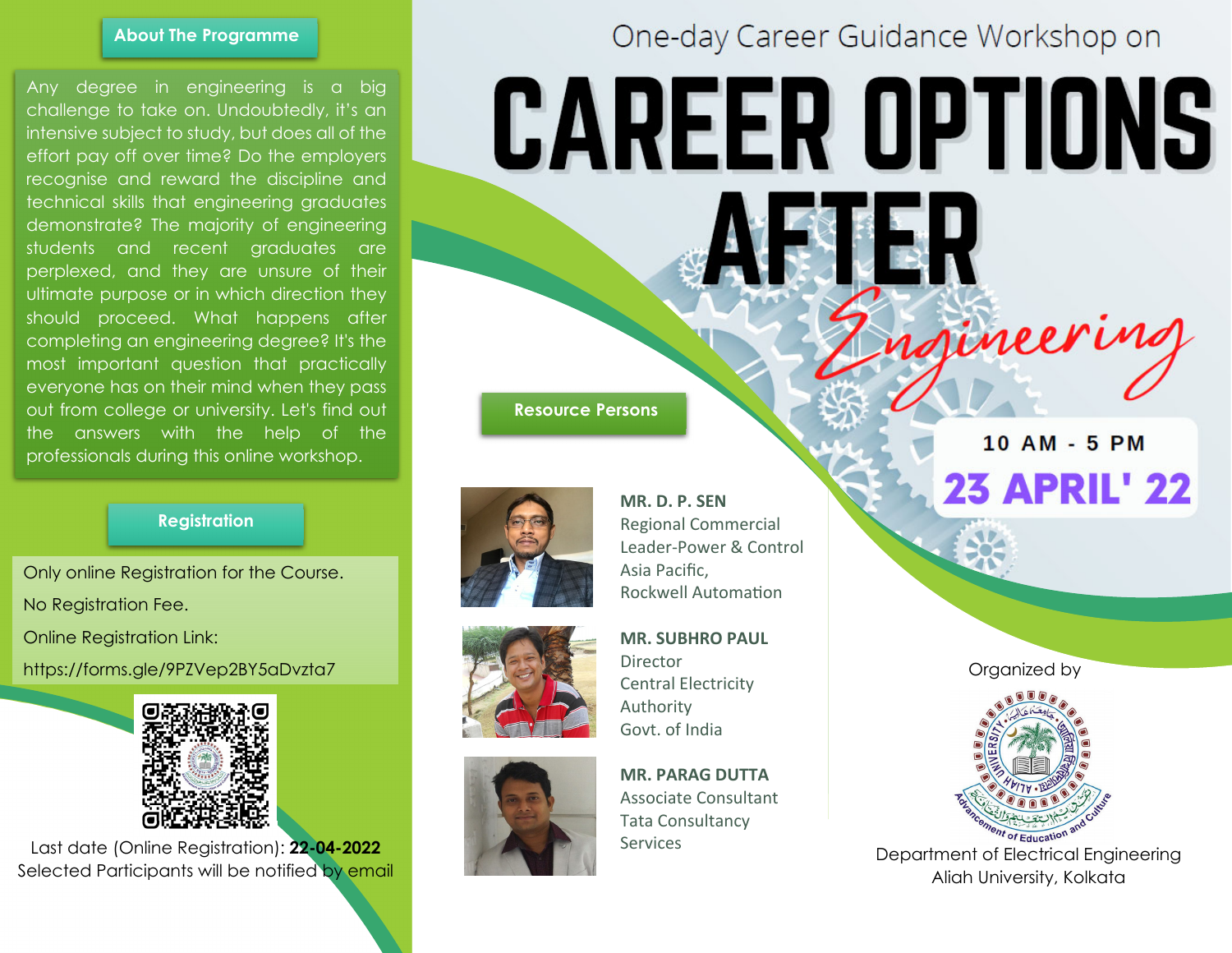### **About The Programme**

Any degree in engineering is a big challenge to take on. Undoubtedly, it's an intensive subject to study, but does all of the effort pay off over time? Do the employers recognise and reward the discipline and technical skills that engineering graduates demonstrate? The majority of engineering students and recent graduates are perplexed, and they are unsure of their ultimate purpose or in which direction they should proceed. What happens after completing an engineering degree? It's the most important question that practically everyone has on their mind when they pass out from college or university. Let's find out the answers with the help of the professionals during this online workshop.

# **Registration**

Only online Registration for the Course. No Registration Fee.

Online Registration Link:

https://forms.gle/9PZVep2BY5aDvzta7



Last date (Online Registration): **22-04-2022** Selected Participants will be notified by email

# One-day Career Guidance Workshop on

# **CAREER OPTIONS**

また

 **Resource Persons**







Asia Pacific, Rockwell AutomaƟon **MR. SUBHRO PAUL** Director Central Electricity

Regional Commercial Leader-Power & Control

**MR. D. P. SEN** 

Authority

Govt. of India

**MR. PARAG DUTTA** Associate Consultant Tata Consultancy Services

10 AM - 5 PM **23 APRIL' 22** 

ngineering

Organized by



Department of Electrical Engineering Aliah University, Kolkata